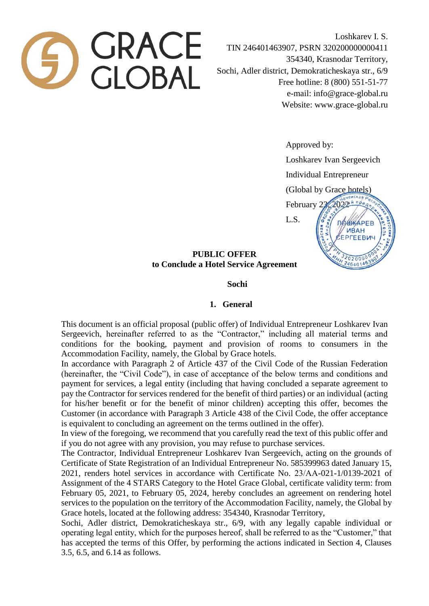

Loshkarev I. S. TIN 246401463907, PSRN 320200000000411 354340, Krasnodar Territory, Sochi, Adler district, Demokraticheskaya str., 6/9 Free hotline: 8 (800) 551-51-77 e-mail: info@grace-global.ru Website: www.grace-global.ru

Approved by:

Loshkarev Ivan Sergeevich

Individual Entrepreneur

(Global by Grace hotels)



3020000 246401463

# **PUBLIC OFFER to Conclude a Hotel Service Agreement**

### **Sochi**

#### **1. General**

This document is an official proposal (public offer) of Individual Entrepreneur Loshkarev Ivan Sergeevich, hereinafter referred to as the "Contractor," including all material terms and conditions for the booking, payment and provision of rooms to consumers in the Accommodation Facility, namely, the Global by Grace hotels.

In accordance with Paragraph 2 of Article 437 of the Civil Code of the Russian Federation (hereinafter, the "Civil Code"), in case of acceptance of the below terms and conditions and payment for services, a legal entity (including that having concluded a separate agreement to pay the Contractor for services rendered for the benefit of third parties) or an individual (acting for his/her benefit or for the benefit of minor children) accepting this offer, becomes the Customer (in accordance with Paragraph 3 Article 438 of the Civil Code, the offer acceptance is equivalent to concluding an agreement on the terms outlined in the offer).

In view of the foregoing, we recommend that you carefully read the text of this public offer and if you do not agree with any provision, you may refuse to purchase services.

The Contractor, Individual Entrepreneur Loshkarev Ivan Sergeevich, acting on the grounds of Certificate of State Registration of an Individual Entrepreneur No. 585399963 dated January 15, 2021, renders hotel services in accordance with Certificate No. 23/АА-021-1/0139-2021 of Assignment of the 4 STARS Category to the Hotel Grace Global, certificate validity term: from February 05, 2021, to February 05, 2024, hereby concludes an agreement on rendering hotel services to the population on the territory of the Accommodation Facility, namely, the Global by Grace hotels, located at the following address: 354340, Krasnodar Territory,

Sochi, Adler district, Demokraticheskaya str., 6/9, with any legally capable individual or operating legal entity, which for the purposes hereof, shall be referred to as the "Customer," that has accepted the terms of this Offer, by performing the actions indicated in Section 4, Clauses 3.5, 6.5, and 6.14 as follows.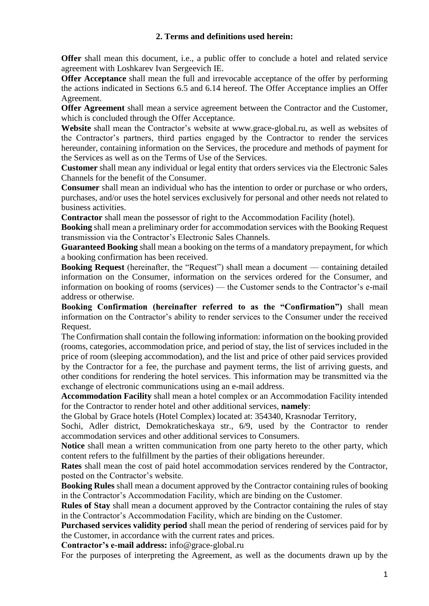**Offer** shall mean this document, i.e., a public offer to conclude a hotel and related service agreement with Loshkarev Ivan Sergeevich IE.

**Offer Acceptance** shall mean the full and irrevocable acceptance of the offer by performing the actions indicated in Sections 6.5 and 6.14 hereof. The Offer Acceptance implies an Offer Agreement.

**Offer Agreement** shall mean a service agreement between the Contractor and the Customer, which is concluded through the Offer Acceptance.

**Website** shall mean the Contractor's website at www.grace-global.ru, as well as websites of the Contractor's partners, third parties engaged by the Contractor to render the services hereunder, containing information on the Services, the procedure and methods of payment for the Services as well as on the Terms of Use of the Services.

**Customer** shall mean any individual or legal entity that orders services via the Electronic Sales Channels for the benefit of the Consumer.

**Consumer** shall mean an individual who has the intention to order or purchase or who orders, purchases, and/or uses the hotel services exclusively for personal and other needs not related to business activities.

**Contractor** shall mean the possessor of right to the Accommodation Facility (hotel).

**Booking** shall mean a preliminary order for accommodation services with the Booking Request transmission via the Contractor's Electronic Sales Channels.

**Guaranteed Booking** shall mean a booking on the terms of a mandatory prepayment, for which a booking confirmation has been received.

**Booking Request** (hereinafter, the "Request") shall mean a document — containing detailed information on the Consumer, information on the services ordered for the Consumer, and information on booking of rooms (services) — the Customer sends to the Contractor's e-mail address or otherwise.

**Booking Confirmation (hereinafter referred to as the "Confirmation")** shall mean information on the Contractor's ability to render services to the Consumer under the received Request.

The Confirmation shall contain the following information: information on the booking provided (rooms, categories, accommodation price, and period of stay, the list of services included in the price of room (sleeping accommodation), and the list and price of other paid services provided by the Contractor for a fee, the purchase and payment terms, the list of arriving guests, and other conditions for rendering the hotel services. This information may be transmitted via the exchange of electronic communications using an e-mail address.

**Accommodation Facility** shall mean a hotel complex or an Accommodation Facility intended for the Contractor to render hotel and other additional services, **namely**:

the Global by Grace hotels (Hotel Complex) located at: 354340, Krasnodar Territory,

Sochi, Adler district, Demokraticheskaya str., 6/9, used by the Contractor to render accommodation services and other additional services to Consumers.

**Notice** shall mean a written communication from one party hereto to the other party, which content refers to the fulfillment by the parties of their obligations hereunder.

**Rates** shall mean the cost of paid hotel accommodation services rendered by the Contractor, posted on the Contractor's website.

**Booking Rules** shall mean a document approved by the Contractor containing rules of booking in the Contractor's Accommodation Facility, which are binding on the Customer.

**Rules of Stay** shall mean a document approved by the Contractor containing the rules of stay in the Contractor's Accommodation Facility, which are binding on the Customer.

**Purchased services validity period** shall mean the period of rendering of services paid for by the Customer, in accordance with the current rates and prices.

**Contractor's e-mail address:** info@grace-global.ru

For the purposes of interpreting the Agreement, as well as the documents drawn up by the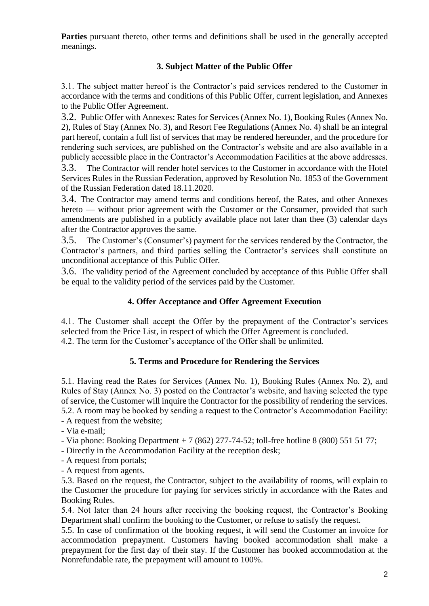**Parties** pursuant thereto, other terms and definitions shall be used in the generally accepted meanings.

## **3. Subject Matter of the Public Offer**

3.1. The subject matter hereof is the Contractor's paid services rendered to the Customer in accordance with the terms and conditions of this Public Offer, current legislation, and Annexes to the Public Offer Agreement.

3.2. Public Offer with Annexes: Rates for Services (Annex No. 1), Booking Rules (Annex No. 2), Rules of Stay (Annex No. 3), and Resort Fee Regulations (Annex No. 4) shall be an integral part hereof, contain a full list of services that may be rendered hereunder, and the procedure for rendering such services, are published on the Contractor's website and are also available in a publicly accessible place in the Contractor's Accommodation Facilities at the above addresses.

3.3. The Contractor will render hotel services to the Customer in accordance with the Hotel Services Rules in the Russian Federation, approved by Resolution No. 1853 of the Government of the Russian Federation dated 18.11.2020.

3.4. The Contractor may amend terms and conditions hereof, the Rates, and other Annexes hereto — without prior agreement with the Customer or the Consumer, provided that such amendments are published in a publicly available place not later than thee (3) calendar days after the Contractor approves the same.

3.5. The Customer's (Consumer's) payment for the services rendered by the Contractor, the Contractor's partners, and third parties selling the Contractor's services shall constitute an unconditional acceptance of this Public Offer.

3.6. The validity period of the Agreement concluded by acceptance of this Public Offer shall be equal to the validity period of the services paid by the Customer.

# **4. Offer Acceptance and Offer Agreement Execution**

4.1. The Customer shall accept the Offer by the prepayment of the Contractor's services selected from the Price List, in respect of which the Offer Agreement is concluded. 4.2. The term for the Customer's acceptance of the Offer shall be unlimited.

## **5. Terms and Procedure for Rendering the Services**

5.1. Having read the Rates for Services (Annex No. 1), Booking Rules (Annex No. 2), and Rules of Stay (Annex No. 3) posted on the Contractor's website, and having selected the type of service, the Customer will inquire the Contractor for the possibility of rendering the services. 5.2. A room may be booked by sending a request to the Contractor's Accommodation Facility: - A request from the website;

- Via e-mail;

- Via phone: Booking Department + 7 (862) 277-74-52; toll-free hotline 8 (800) 551 51 77;

- Directly in the Accommodation Facility at the reception desk;

- A request from portals;

- A request from agents.

5.3. Based on the request, the Contractor, subject to the availability of rooms, will explain to the Customer the procedure for paying for services strictly in accordance with the Rates and Booking Rules.

5.4. Not later than 24 hours after receiving the booking request, the Contractor's Booking Department shall confirm the booking to the Customer, or refuse to satisfy the request.

5.5. In case of confirmation of the booking request, it will send the Customer an invoice for accommodation prepayment. Customers having booked accommodation shall make a prepayment for the first day of their stay. If the Customer has booked accommodation at the Nonrefundable rate, the prepayment will amount to 100%.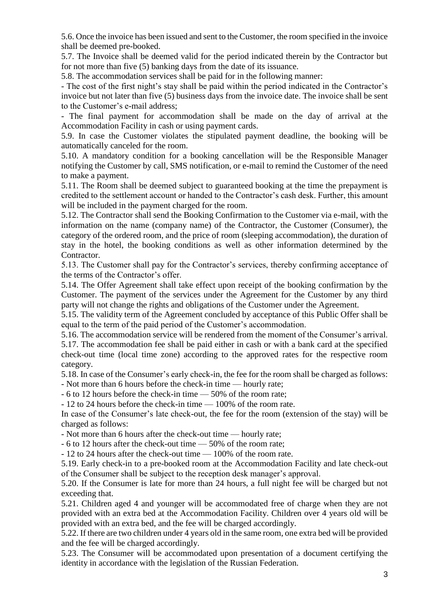5.6. Once the invoice has been issued and sent to the Customer, the room specified in the invoice shall be deemed pre-booked.

5.7. The Invoice shall be deemed valid for the period indicated therein by the Contractor but for not more than five (5) banking days from the date of its issuance.

5.8. The accommodation services shall be paid for in the following manner:

- The cost of the first night's stay shall be paid within the period indicated in the Contractor's invoice but not later than five (5) business days from the invoice date. The invoice shall be sent to the Customer's e-mail address;

- The final payment for accommodation shall be made on the day of arrival at the Accommodation Facility in cash or using payment cards.

5.9. In case the Customer violates the stipulated payment deadline, the booking will be automatically canceled for the room.

5.10. A mandatory condition for a booking cancellation will be the Responsible Manager notifying the Customer by call, SMS notification, or e-mail to remind the Customer of the need to make a payment.

5.11. The Room shall be deemed subject to guaranteed booking at the time the prepayment is credited to the settlement account or handed to the Contractor's cash desk. Further, this amount will be included in the payment charged for the room.

5.12. The Contractor shall send the Booking Confirmation to the Customer via e-mail, with the information on the name (company name) of the Contractor, the Customer (Consumer), the category of the ordered room, and the price of room (sleeping accommodation), the duration of stay in the hotel, the booking conditions as well as other information determined by the Contractor.

5.13. The Customer shall pay for the Contractor's services, thereby confirming acceptance of the terms of the Contractor's offer.

5.14. The Offer Agreement shall take effect upon receipt of the booking confirmation by the Customer. The payment of the services under the Agreement for the Customer by any third party will not change the rights and obligations of the Customer under the Agreement.

5.15. The validity term of the Agreement concluded by acceptance of this Public Offer shall be equal to the term of the paid period of the Customer's accommodation.

5.16. The accommodation service will be rendered from the moment of the Consumer's arrival. 5.17. The accommodation fee shall be paid either in cash or with a bank card at the specified check-out time (local time zone) according to the approved rates for the respective room

category.

5.18. In case of the Consumer's early check-in, the fee for the room shall be charged as follows:

- Not more than 6 hours before the check-in time — hourly rate;

- 6 to 12 hours before the check-in time — 50% of the room rate;

- 12 to 24 hours before the check-in time — 100% of the room rate.

In case of the Consumer's late check-out, the fee for the room (extension of the stay) will be charged as follows:

- Not more than 6 hours after the check-out time — hourly rate;

- 6 to 12 hours after the check-out time — 50% of the room rate;

- 12 to 24 hours after the check-out time — 100% of the room rate.

5.19. Early check-in to a pre-booked room at the Accommodation Facility and late check-out of the Consumer shall be subject to the reception desk manager's approval.

5.20. If the Consumer is late for more than 24 hours, a full night fee will be charged but not exceeding that.

5.21. Children aged 4 and younger will be accommodated free of charge when they are not provided with an extra bed at the Accommodation Facility. Children over 4 years old will be provided with an extra bed, and the fee will be charged accordingly.

5.22. If there are two children under 4 years old in the same room, one extra bed will be provided and the fee will be charged accordingly.

5.23. The Consumer will be accommodated upon presentation of a document certifying the identity in accordance with the legislation of the Russian Federation.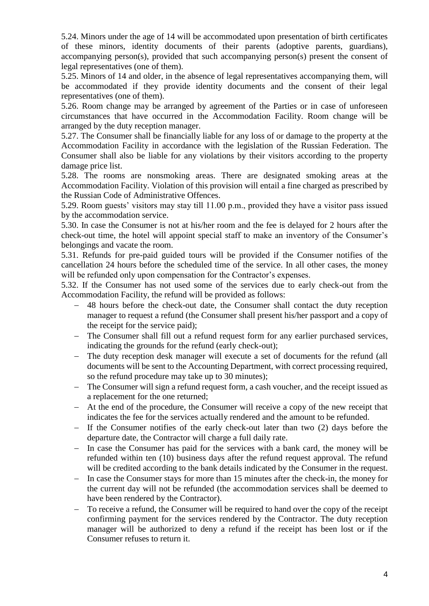5.24. Minors under the age of 14 will be accommodated upon presentation of birth certificates of these minors, identity documents of their parents (adoptive parents, guardians), accompanying person(s), provided that such accompanying person(s) present the consent of legal representatives (one of them).

5.25. Minors of 14 and older, in the absence of legal representatives accompanying them, will be accommodated if they provide identity documents and the consent of their legal representatives (one of them).

5.26. Room change may be arranged by agreement of the Parties or in case of unforeseen circumstances that have occurred in the Accommodation Facility. Room change will be arranged by the duty reception manager.

5.27. The Consumer shall be financially liable for any loss of or damage to the property at the Accommodation Facility in accordance with the legislation of the Russian Federation. The Consumer shall also be liable for any violations by their visitors according to the property damage price list.

5.28. The rooms are nonsmoking areas. There are designated smoking areas at the Accommodation Facility. Violation of this provision will entail a fine charged as prescribed by the Russian Code of Administrative Offences.

5.29. Room guests' visitors may stay till 11.00 p.m., provided they have a visitor pass issued by the accommodation service.

5.30. In case the Consumer is not at his/her room and the fee is delayed for 2 hours after the check-out time, the hotel will appoint special staff to make an inventory of the Consumer's belongings and vacate the room.

5.31. Refunds for pre-paid guided tours will be provided if the Consumer notifies of the cancellation 24 hours before the scheduled time of the service. In all other cases, the money will be refunded only upon compensation for the Contractor's expenses.

5.32. If the Consumer has not used some of the services due to early check-out from the Accommodation Facility, the refund will be provided as follows:

- 48 hours before the check-out date, the Consumer shall contact the duty reception manager to request a refund (the Consumer shall present his/her passport and a copy of the receipt for the service paid);
- The Consumer shall fill out a refund request form for any earlier purchased services, indicating the grounds for the refund (early check-out);
- The duty reception desk manager will execute a set of documents for the refund (all documents will be sent to the Accounting Department, with correct processing required, so the refund procedure may take up to 30 minutes);
- The Consumer will sign a refund request form, a cash voucher, and the receipt issued as a replacement for the one returned;
- At the end of the procedure, the Consumer will receive a copy of the new receipt that indicates the fee for the services actually rendered and the amount to be refunded.
- If the Consumer notifies of the early check-out later than two (2) days before the departure date, the Contractor will charge a full daily rate.
- In case the Consumer has paid for the services with a bank card, the money will be refunded within ten (10) business days after the refund request approval. The refund will be credited according to the bank details indicated by the Consumer in the request.
- In case the Consumer stays for more than 15 minutes after the check-in, the money for the current day will not be refunded (the accommodation services shall be deemed to have been rendered by the Contractor).
- To receive a refund, the Consumer will be required to hand over the copy of the receipt confirming payment for the services rendered by the Contractor. The duty reception manager will be authorized to deny a refund if the receipt has been lost or if the Consumer refuses to return it.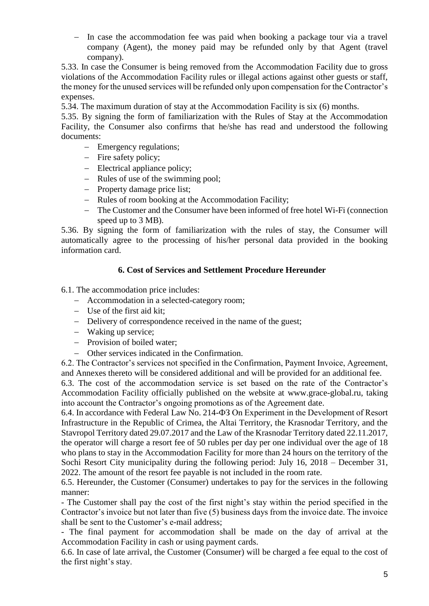- In case the accommodation fee was paid when booking a package tour via a travel company (Agent), the money paid may be refunded only by that Agent (travel company).

5.33. In case the Consumer is being removed from the Accommodation Facility due to gross violations of the Accommodation Facility rules or illegal actions against other guests or staff, the money for the unused services will be refunded only upon compensation for the Contractor's expenses.

5.34. The maximum duration of stay at the Accommodation Facility is six (6) months.

5.35. By signing the form of familiarization with the Rules of Stay at the Accommodation Facility, the Consumer also confirms that he/she has read and understood the following documents:

- Emergency regulations;
- Fire safety policy;
- Electrical appliance policy;
- Rules of use of the swimming pool;
- Property damage price list;
- Rules of room booking at the Accommodation Facility;
- The Customer and the Consumer have been informed of free hotel Wi-Fi (connection speed up to 3 MB).

5.36. By signing the form of familiarization with the rules of stay, the Consumer will automatically agree to the processing of his/her personal data provided in the booking information card.

### **6. Cost of Services and Settlement Procedure Hereunder**

6.1. The accommodation price includes:

- Accommodation in a selected-category room;
- Use of the first aid kit;
- Delivery of correspondence received in the name of the guest;
- Waking up service;
- Provision of boiled water;
- Other services indicated in the Confirmation.

6.2. The Contractor's services not specified in the Confirmation, Payment Invoice, Agreement, and Annexes thereto will be considered additional and will be provided for an additional fee.

6.3. The cost of the accommodation service is set based on the rate of the Contractor's Accommodation Facility officially published on the website at www.grace-global.ru, taking into account the Contractor's ongoing promotions as of the Agreement date.

6.4. In accordance with Federal Law No. 214-ФЗ On Experiment in the Development of Resort Infrastructure in the Republic of Crimea, the Altai Territory, the Krasnodar Territory, and the Stavropol Territory dated 29.07.2017 and the Law of the Krasnodar Territory dated 22.11.2017, the operator will charge a resort fee of 50 rubles per day per one individual over the age of 18 who plans to stay in the Accommodation Facility for more than 24 hours on the territory of the Sochi Resort City municipality during the following period: July 16, 2018 – December 31, 2022. The amount of the resort fee payable is not included in the room rate.

6.5. Hereunder, the Customer (Consumer) undertakes to pay for the services in the following manner:

- The Customer shall pay the cost of the first night's stay within the period specified in the Contractor's invoice but not later than five (5) business days from the invoice date. The invoice shall be sent to the Customer's e-mail address;

- The final payment for accommodation shall be made on the day of arrival at the Accommodation Facility in cash or using payment cards.

6.6. In case of late arrival, the Customer (Consumer) will be charged a fee equal to the cost of the first night's stay.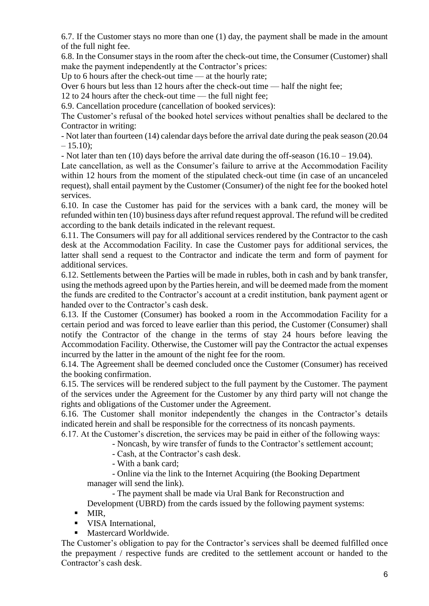6.7. If the Customer stays no more than one (1) day, the payment shall be made in the amount of the full night fee.

6.8. In the Consumer stays in the room after the check-out time, the Consumer (Customer) shall make the payment independently at the Contractor's prices:

Up to 6 hours after the check-out time — at the hourly rate;

Over 6 hours but less than 12 hours after the check-out time — half the night fee;

12 to 24 hours after the check-out time — the full night fee;

6.9. Cancellation procedure (cancellation of booked services):

The Customer's refusal of the booked hotel services without penalties shall be declared to the Contractor in writing:

- Not later than fourteen (14) calendar days before the arrival date during the peak season (20.04  $-15.10$ :

- Not later than ten (10) days before the arrival date during the off-season (16.10 – 19.04).

Late cancellation, as well as the Consumer's failure to arrive at the Accommodation Facility within 12 hours from the moment of the stipulated check-out time (in case of an uncanceled request), shall entail payment by the Customer (Consumer) of the night fee for the booked hotel services.

6.10. In case the Customer has paid for the services with a bank card, the money will be refunded within ten (10) business days after refund request approval. The refund will be credited according to the bank details indicated in the relevant request.

6.11. The Consumers will pay for all additional services rendered by the Contractor to the cash desk at the Accommodation Facility. In case the Customer pays for additional services, the latter shall send a request to the Contractor and indicate the term and form of payment for additional services.

6.12. Settlements between the Parties will be made in rubles, both in cash and by bank transfer, using the methods agreed upon by the Parties herein, and will be deemed made from the moment the funds are credited to the Contractor's account at a credit institution, bank payment agent or handed over to the Contractor's cash desk.

6.13. If the Customer (Consumer) has booked a room in the Accommodation Facility for a certain period and was forced to leave earlier than this period, the Customer (Consumer) shall notify the Contractor of the change in the terms of stay 24 hours before leaving the Accommodation Facility. Otherwise, the Customer will pay the Contractor the actual expenses incurred by the latter in the amount of the night fee for the room.

6.14. The Agreement shall be deemed concluded once the Customer (Consumer) has received the booking confirmation.

6.15. The services will be rendered subject to the full payment by the Customer. The payment of the services under the Agreement for the Customer by any third party will not change the rights and obligations of the Customer under the Agreement.

6.16. The Customer shall monitor independently the changes in the Contractor's details indicated herein and shall be responsible for the correctness of its noncash payments.

6.17. At the Customer's discretion, the services may be paid in either of the following ways:

- Noncash, by wire transfer of funds to the Contractor's settlement account;

- Cash, at the Contractor's cash desk.

- With a bank card;

- Online via the link to the Internet Acquiring (the Booking Department manager will send the link).

- The payment shall be made via Ural Bank for Reconstruction and

Development (UBRD) from the cards issued by the following payment systems:

- $-MIR$ ,
- **VISA** International.

■ Mastercard Worldwide.

The Customer's obligation to pay for the Contractor's services shall be deemed fulfilled once the prepayment / respective funds are credited to the settlement account or handed to the Contractor's cash desk.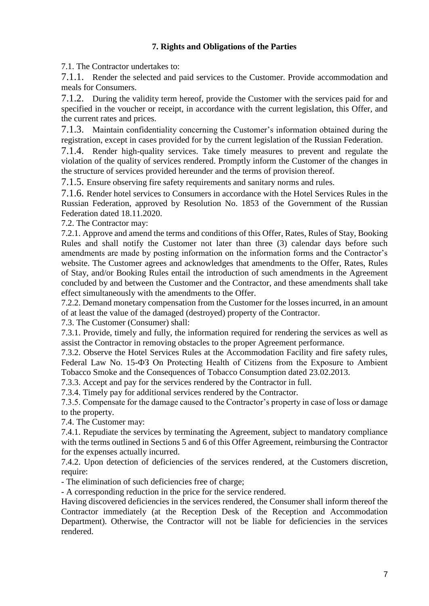# **7. Rights and Obligations of the Parties**

7.1. The Contractor undertakes to:

7.1.1. Render the selected and paid services to the Customer. Provide accommodation and meals for Consumers.

7.1.2. During the validity term hereof, provide the Customer with the services paid for and specified in the voucher or receipt, in accordance with the current legislation, this Offer, and the current rates and prices.

7.1.3. Maintain confidentiality concerning the Customer's information obtained during the registration, except in cases provided for by the current legislation of the Russian Federation.

7.1.4. Render high-quality services. Take timely measures to prevent and regulate the violation of the quality of services rendered. Promptly inform the Customer of the changes in the structure of services provided hereunder and the terms of provision thereof.

7.1.5. Ensure observing fire safety requirements and sanitary norms and rules.

7.1.6. Render hotel services to Consumers in accordance with the Hotel Services Rules in the Russian Federation, approved by Resolution No. 1853 of the Government of the Russian Federation dated 18.11.2020.

7.2. The Contractor may:

7.2.1. Approve and amend the terms and conditions of this Offer, Rates, Rules of Stay, Booking Rules and shall notify the Customer not later than three (3) calendar days before such amendments are made by posting information on the information forms and the Contractor's website. The Customer agrees and acknowledges that amendments to the Offer, Rates, Rules of Stay, and/or Booking Rules entail the introduction of such amendments in the Agreement concluded by and between the Customer and the Contractor, and these amendments shall take effect simultaneously with the amendments to the Offer.

7.2.2. Demand monetary compensation from the Customer for the losses incurred, in an amount of at least the value of the damaged (destroyed) property of the Contractor.

7.3. The Customer (Consumer) shall:

7.3.1. Provide, timely and fully, the information required for rendering the services as well as assist the Contractor in removing obstacles to the proper Agreement performance.

7.3.2. Observe the Hotel Services Rules at the Accommodation Facility and fire safety rules, Federal Law No. 15-ФЗ On Protecting Health of Citizens from the Exposure to Ambient Tobacco Smoke and the Consequences of Tobacco Consumption dated 23.02.2013.

7.3.3. Accept and pay for the services rendered by the Contractor in full.

7.3.4. Timely pay for additional services rendered by the Contractor.

7.3.5. Compensate for the damage caused to the Contractor's property in case of loss or damage to the property.

7.4. The Customer may:

7.4.1. Repudiate the services by terminating the Agreement, subject to mandatory compliance with the terms outlined in Sections 5 and 6 of this Offer Agreement, reimbursing the Contractor for the expenses actually incurred.

7.4.2. Upon detection of deficiencies of the services rendered, at the Customers discretion, require:

- The elimination of such deficiencies free of charge;

- A corresponding reduction in the price for the service rendered.

Having discovered deficiencies in the services rendered, the Consumer shall inform thereof the Contractor immediately (at the Reception Desk of the Reception and Accommodation Department). Otherwise, the Contractor will not be liable for deficiencies in the services rendered.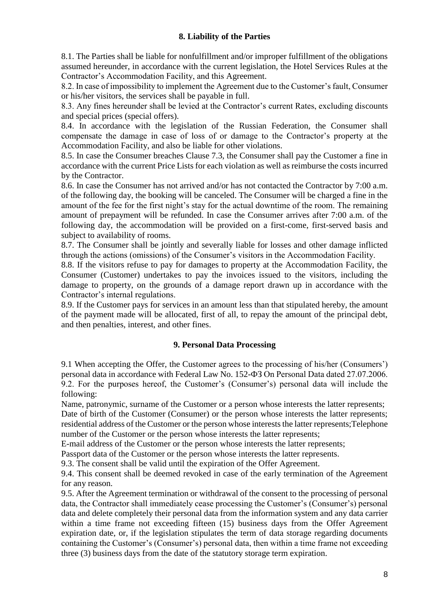## **8. Liability of the Parties**

8.1. The Parties shall be liable for nonfulfillment and/or improper fulfillment of the obligations assumed hereunder, in accordance with the current legislation, the Hotel Services Rules at the Contractor's Accommodation Facility, and this Agreement.

8.2. In case of impossibility to implement the Agreement due to the Customer's fault, Consumer or his/her visitors, the services shall be payable in full.

8.3. Any fines hereunder shall be levied at the Contractor's current Rates, excluding discounts and special prices (special offers).

8.4. In accordance with the legislation of the Russian Federation, the Consumer shall compensate the damage in case of loss of or damage to the Contractor's property at the Accommodation Facility, and also be liable for other violations.

8.5. In case the Consumer breaches Clause 7.3, the Consumer shall pay the Customer a fine in accordance with the current Price Lists for each violation as well as reimburse the costs incurred by the Contractor.

8.6. In case the Consumer has not arrived and/or has not contacted the Contractor by 7:00 a.m. of the following day, the booking will be canceled. The Consumer will be charged a fine in the amount of the fee for the first night's stay for the actual downtime of the room. The remaining amount of prepayment will be refunded. In case the Consumer arrives after 7:00 a.m. of the following day, the accommodation will be provided on a first-come, first-served basis and subject to availability of rooms.

8.7. The Consumer shall be jointly and severally liable for losses and other damage inflicted through the actions (omissions) of the Consumer's visitors in the Accommodation Facility.

8.8. If the visitors refuse to pay for damages to property at the Accommodation Facility, the Consumer (Customer) undertakes to pay the invoices issued to the visitors, including the damage to property, on the grounds of a damage report drawn up in accordance with the Contractor's internal regulations.

8.9. If the Customer pays for services in an amount less than that stipulated hereby, the amount of the payment made will be allocated, first of all, to repay the amount of the principal debt, and then penalties, interest, and other fines.

#### **9. Personal Data Processing**

9.1 When accepting the Offer, the Customer agrees to the processing of his/her (Consumers') personal data in accordance with Federal Law No. 152-ФЗ On Personal Data dated 27.07.2006. 9.2. For the purposes hereof, the Customer's (Consumer's) personal data will include the following:

Name, patronymic, surname of the Customer or a person whose interests the latter represents;

Date of birth of the Customer (Consumer) or the person whose interests the latter represents; residential address of the Customer or the person whose interests the latter represents;Telephone number of the Customer or the person whose interests the latter represents;

E-mail address of the Customer or the person whose interests the latter represents;

Passport data of the Customer or the person whose interests the latter represents.

9.3. The consent shall be valid until the expiration of the Offer Agreement.

9.4. This consent shall be deemed revoked in case of the early termination of the Agreement for any reason.

9.5. After the Agreement termination or withdrawal of the consent to the processing of personal data, the Contractor shall immediately cease processing the Customer's (Consumer's) personal data and delete completely their personal data from the information system and any data carrier within a time frame not exceeding fifteen (15) business days from the Offer Agreement expiration date, or, if the legislation stipulates the term of data storage regarding documents containing the Customer's (Consumer's) personal data, then within a time frame not exceeding three (3) business days from the date of the statutory storage term expiration.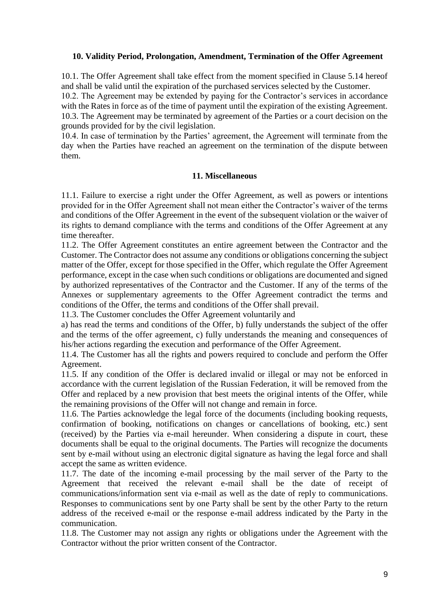#### **10. Validity Period, Prolongation, Amendment, Termination of the Offer Agreement**

10.1. The Offer Agreement shall take effect from the moment specified in Clause 5.14 hereof and shall be valid until the expiration of the purchased services selected by the Customer. 10.2. The Agreement may be extended by paying for the Contractor's services in accordance with the Rates in force as of the time of payment until the expiration of the existing Agreement. 10.3. The Agreement may be terminated by agreement of the Parties or a court decision on the grounds provided for by the civil legislation.

10.4. In case of termination by the Parties' agreement, the Agreement will terminate from the day when the Parties have reached an agreement on the termination of the dispute between them.

#### **11. Miscellaneous**

11.1. Failure to exercise a right under the Offer Agreement, as well as powers or intentions provided for in the Offer Agreement shall not mean either the Contractor's waiver of the terms and conditions of the Offer Agreement in the event of the subsequent violation or the waiver of its rights to demand compliance with the terms and conditions of the Offer Agreement at any time thereafter.

11.2. The Offer Agreement constitutes an entire agreement between the Contractor and the Customer. The Contractor does not assume any conditions or obligations concerning the subject matter of the Offer, except for those specified in the Offer, which regulate the Offer Agreement performance, except in the case when such conditions or obligations are documented and signed by authorized representatives of the Contractor and the Customer. If any of the terms of the Annexes or supplementary agreements to the Offer Agreement contradict the terms and conditions of the Offer, the terms and conditions of the Offer shall prevail.

11.3. The Customer concludes the Offer Agreement voluntarily and

a) has read the terms and conditions of the Offer, b) fully understands the subject of the offer and the terms of the offer agreement, c) fully understands the meaning and consequences of his/her actions regarding the execution and performance of the Offer Agreement.

11.4. The Customer has all the rights and powers required to conclude and perform the Offer Agreement.

11.5. If any condition of the Offer is declared invalid or illegal or may not be enforced in accordance with the current legislation of the Russian Federation, it will be removed from the Offer and replaced by a new provision that best meets the original intents of the Offer, while the remaining provisions of the Offer will not change and remain in force.

11.6. The Parties acknowledge the legal force of the documents (including booking requests, confirmation of booking, notifications on changes or cancellations of booking, etc.) sent (received) by the Parties via e-mail hereunder. When considering a dispute in court, these documents shall be equal to the original documents. The Parties will recognize the documents sent by e-mail without using an electronic digital signature as having the legal force and shall accept the same as written evidence.

11.7. The date of the incoming e-mail processing by the mail server of the Party to the Agreement that received the relevant e-mail shall be the date of receipt of communications/information sent via e-mail as well as the date of reply to communications. Responses to communications sent by one Party shall be sent by the other Party to the return address of the received e-mail or the response e-mail address indicated by the Party in the communication.

11.8. The Customer may not assign any rights or obligations under the Agreement with the Contractor without the prior written consent of the Contractor.